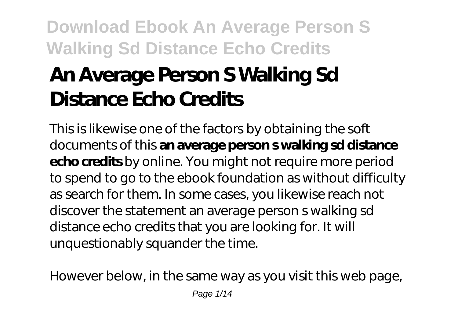# **An Average Person S Walking Sd Distance Echo Credits**

This is likewise one of the factors by obtaining the soft documents of this **an average person s walking sd distance echo credits** by online. You might not require more period to spend to go to the ebook foundation as without difficulty as search for them. In some cases, you likewise reach not discover the statement an average person s walking sd distance echo credits that you are looking for. It will unquestionably squander the time.

However below, in the same way as you visit this web page,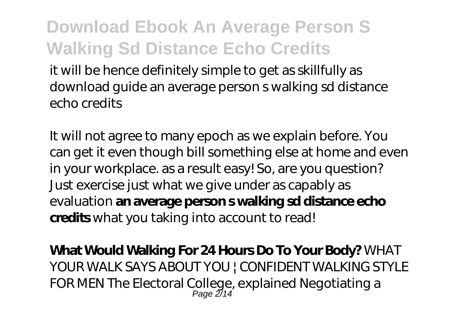it will be hence definitely simple to get as skillfully as download guide an average person s walking sd distance echo credits

It will not agree to many epoch as we explain before. You can get it even though bill something else at home and even in your workplace. as a result easy! So, are you question? Just exercise just what we give under as capably as evaluation **an average person s walking sd distance echo credits** what you taking into account to read!

**What Would Walking For 24 Hours Do To Your Body?** *WHAT YOUR WALK SAYS ABOUT YOU | CONFIDENT WALKING STYLE FOR MEN The Electoral College, explained* Negotiating a Page 2/14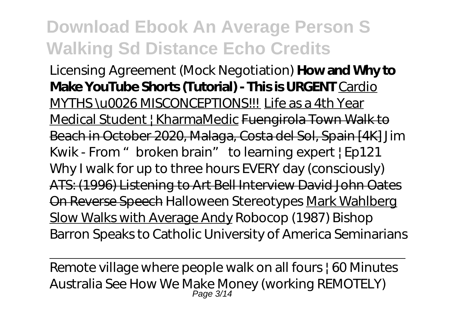Licensing Agreement (Mock Negotiation) **How and Why to Make YouTube Shorts (Tutorial) - This is URGENT** Cardio MYTHS \u0026 MISCONCEPTIONS!!! Life as a 4th Year Medical Student | KharmaMedic Fuengirola Town Walk to Beach in October 2020, Malaga, Costa del Sol, Spain [4K] *Jim Kwik - From "broken brain" to learning expert | Ep121 Why I walk for up to three hours EVERY day (consciously)* ATS: (1996) Listening to Art Bell Interview David John Oates On Reverse Speech *Halloween Stereotypes* Mark Wahlberg Slow Walks with Average Andy *Robocop (1987) Bishop Barron Speaks to Catholic University of America Seminarians*

Remote village where people walk on all fours | 60 Minutes Australia See How We Make Money (working REMOTELY)<br>Page 3/14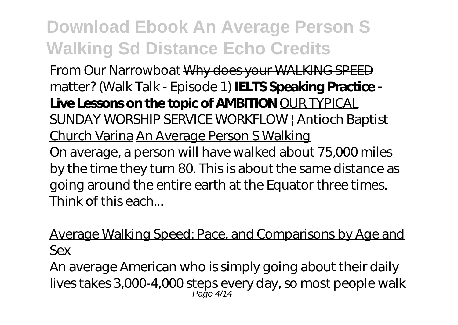From Our Narrowboat Why does your WALKING SPEED matter? (Walk Talk - Episode 1) **IELTS Speaking Practice - Live Lessons on the topic of AMBITION** OUR TYPICAL SUNDAY WORSHIP SERVICE WORKFLOW | Antioch Baptist Church Varina An Average Person S Walking On average, a person will have walked about 75,000 miles by the time they turn 80. This is about the same distance as going around the entire earth at the Equator three times. Think of this each...

Average Walking Speed: Pace, and Comparisons by Age and Sex

An average American who is simply going about their daily lives takes 3,000-4,000 steps every day, so most people walk Page 4/14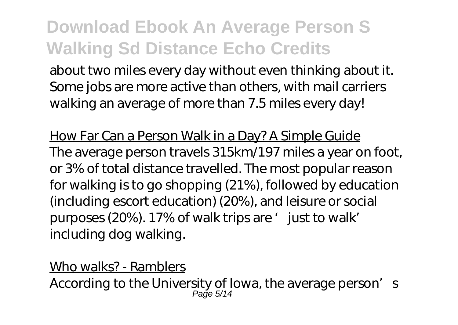about two miles every day without even thinking about it. Some jobs are more active than others, with mail carriers walking an average of more than 7.5 miles every day!

How Far Can a Person Walk in a Day? A Simple Guide The average person travels 315km/197 miles a year on foot, or 3% of total distance travelled. The most popular reason for walking is to go shopping (21%), followed by education (including escort education) (20%), and leisure or social purposes (20%). 17% of walk trips are ' just to walk' including dog walking.

Who walks? - Ramblers

According to the University of Iowa, the average person's Page 5/14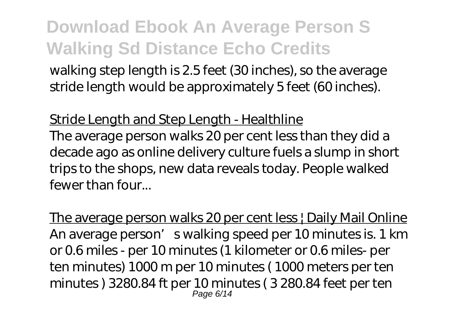walking step length is 2.5 feet (30 inches), so the average stride length would be approximately 5 feet (60 inches).

Stride Length and Step Length - Healthline The average person walks 20 per cent less than they did a decade ago as online delivery culture fuels a slump in short trips to the shops, new data reveals today. People walked fewer than four...

The average person walks 20 per cent less | Daily Mail Online An average person's walking speed per 10 minutes is. 1 km or 0.6 miles - per 10 minutes (1 kilometer or 0.6 miles- per ten minutes) 1000 m per 10 minutes ( 1000 meters per ten minutes ) 3280.84 ft per 10 minutes ( 3 280.84 feet per ten Page 6/14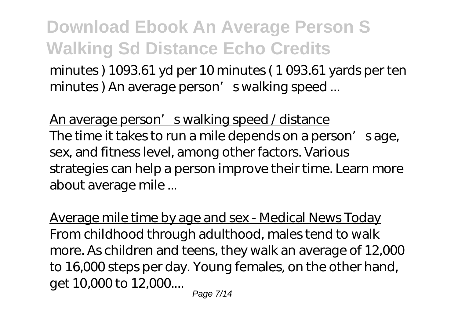minutes ) 1093.61 yd per 10 minutes ( 1 093.61 yards per ten minutes) An average person' s walking speed ...

An average person's walking speed / distance The time it takes to run a mile depends on a person's age, sex, and fitness level, among other factors. Various strategies can help a person improve their time. Learn more about average mile ...

Average mile time by age and sex - Medical News Today From childhood through adulthood, males tend to walk more. As children and teens, they walk an average of 12,000 to 16,000 steps per day. Young females, on the other hand, get 10,000 to 12,000....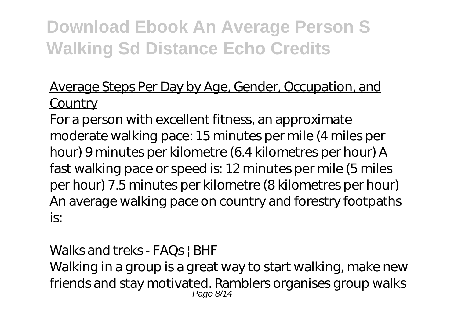### Average Steps Per Day by Age, Gender, Occupation, and **Country**

For a person with excellent fitness, an approximate moderate walking pace: 15 minutes per mile (4 miles per hour) 9 minutes per kilometre (6.4 kilometres per hour) A fast walking pace or speed is: 12 minutes per mile (5 miles per hour) 7.5 minutes per kilometre (8 kilometres per hour) An average walking pace on country and forestry footpaths is:

### Walks and treks - FAQs | BHF

Walking in a group is a great way to start walking, make new friends and stay motivated. Ramblers organises group walks Page 8/14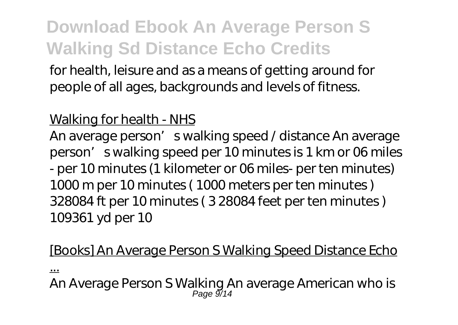for health, leisure and as a means of getting around for people of all ages, backgrounds and levels of fitness.

#### Walking for health - NHS

An average person's walking speed / distance An average person's walking speed per 10 minutes is 1 km or 06 miles - per 10 minutes (1 kilometer or 06 miles- per ten minutes) 1000 m per 10 minutes ( 1000 meters per ten minutes ) 328084 ft per 10 minutes ( 3 28084 feet per ten minutes ) 109361 yd per 10

#### [Books] An Average Person S Walking Speed Distance Echo

...

An Average Person S Walking An average American who is Page 9⁄14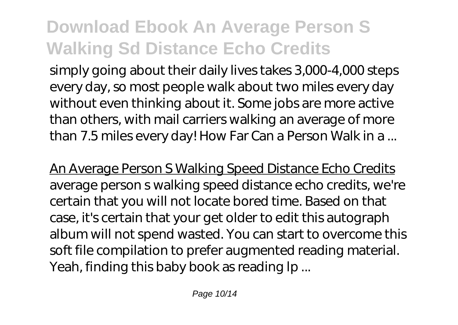simply going about their daily lives takes 3,000-4,000 steps every day, so most people walk about two miles every day without even thinking about it. Some jobs are more active than others, with mail carriers walking an average of more than 7.5 miles every day! How Far Can a Person Walk in a ...

An Average Person S Walking Speed Distance Echo Credits average person s walking speed distance echo credits, we're certain that you will not locate bored time. Based on that case, it's certain that your get older to edit this autograph album will not spend wasted. You can start to overcome this soft file compilation to prefer augmented reading material. Yeah, finding this baby book as reading lp ...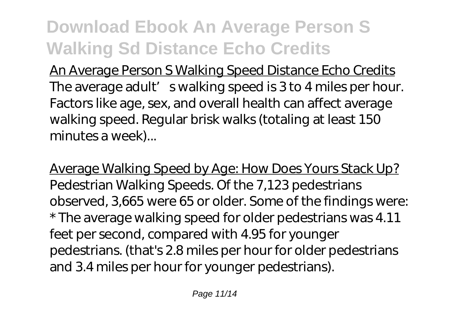An Average Person S Walking Speed Distance Echo Credits The average adult' s walking speed is 3 to 4 miles per hour. Factors like age, sex, and overall health can affect average walking speed. Regular brisk walks (totaling at least 150 minutes a week)...

Average Walking Speed by Age: How Does Yours Stack Up? Pedestrian Walking Speeds. Of the 7,123 pedestrians observed, 3,665 were 65 or older. Some of the findings were: \* The average walking speed for older pedestrians was 4.11 feet per second, compared with 4.95 for younger pedestrians. (that's 2.8 miles per hour for older pedestrians and 3.4 miles per hour for younger pedestrians).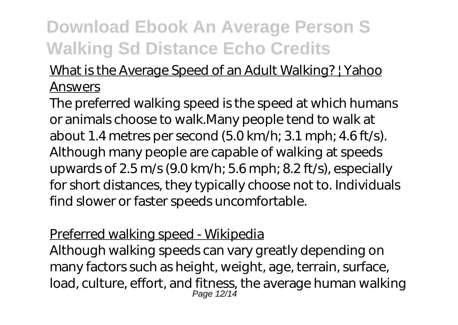### What is the Average Speed of an Adult Walking? | Yahoo Answers

The preferred walking speed is the speed at which humans or animals choose to walk.Many people tend to walk at about 1.4 metres per second (5.0 km/h; 3.1 mph; 4.6 ft/s). Although many people are capable of walking at speeds upwards of 2.5 m/s (9.0 km/h; 5.6 mph; 8.2 ft/s), especially for short distances, they typically choose not to. Individuals find slower or faster speeds uncomfortable.

#### Preferred walking speed - Wikipedia

Although walking speeds can vary greatly depending on many factors such as height, weight, age, terrain, surface, load, culture, effort, and fitness, the average human walking Page 12/14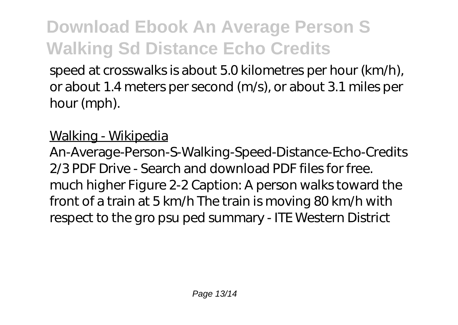speed at crosswalks is about 5.0 kilometres per hour (km/h), or about 1.4 meters per second (m/s), or about 3.1 miles per hour (mph).

### Walking - Wikipedia

An-Average-Person-S-Walking-Speed-Distance-Echo-Credits 2/3 PDF Drive - Search and download PDF files for free. much higher Figure 2-2 Caption: A person walks toward the front of a train at 5 km/h The train is moving 80 km/h with respect to the gro psu ped summary - ITE Western District